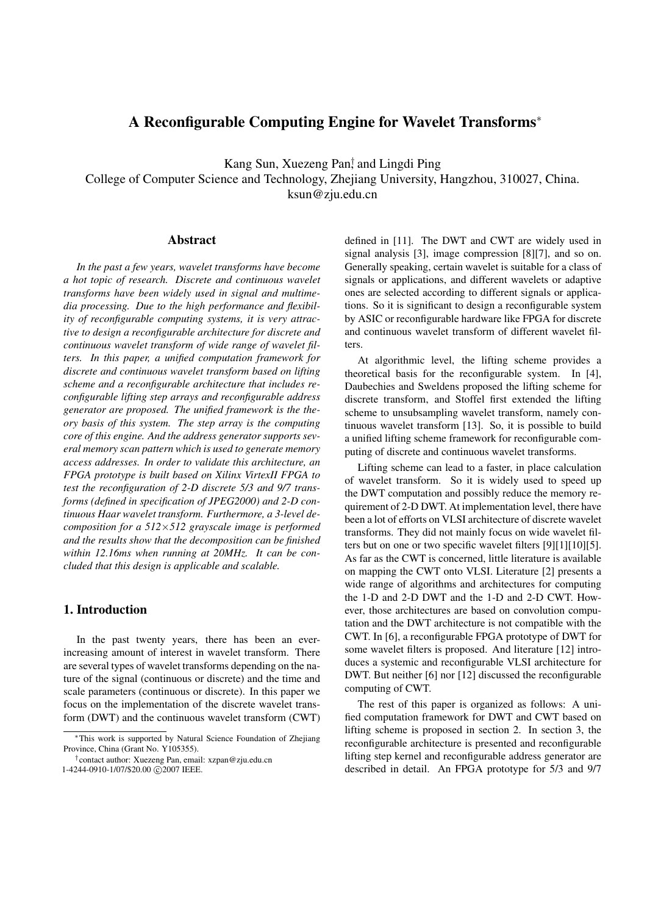# A Reconfigurable Computing Engine for Wavelet Transforms<sup>∗</sup>

Kang Sun, Xuezeng Pan† , and Lingdi Ping College of Computer Science and Technology, Zhejiang University, Hangzhou, 310027, China. ksun@zju.edu.cn

#### Abstract

*In the past a few years, wavelet transforms have become a hot topic of research. Discrete and continuous wavelet transforms have been widely used in signal and multimedia processing. Due to the high performance and flexibility of reconfigurable computing systems, it is very attractive to design a reconfigurable architecture for discrete and continuous wavelet transform of wide range of wavelet filters. In this paper, a unified computation framework for discrete and continuous wavelet transform based on lifting scheme and a reconfigurable architecture that includes reconfigurable lifting step arrays and reconfigurable address generator are proposed. The unified framework is the theory basis of this system. The step array is the computing core of this engine. And the address generator supports several memory scan pattern which is used to generate memory access addresses. In order to validate this architecture, an FPGA prototype is built based on Xilinx VirtexII FPGA to test the reconfiguration of 2-D discrete 5/3 and 9/7 transforms (defined in specification of JPEG2000) and 2-D continuous Haar wavelet transform. Furthermore, a 3-level decomposition for a 512*×*512 grayscale image is performed and the results show that the decomposition can be finished within 12.16ms when running at 20MHz. It can be concluded that this design is applicable and scalable.*

## 1. Introduction

In the past twenty years, there has been an everincreasing amount of interest in wavelet transform. There are several types of wavelet transforms depending on the nature of the signal (continuous or discrete) and the time and scale parameters (continuous or discrete). In this paper we focus on the implementation of the discrete wavelet transform (DWT) and the continuous wavelet transform (CWT) defined in [11]. The DWT and CWT are widely used in signal analysis [3], image compression [8][7], and so on. Generally speaking, certain wavelet is suitable for a class of signals or applications, and different wavelets or adaptive ones are selected according to different signals or applications. So it is significant to design a reconfigurable system by ASIC or reconfigurable hardware like FPGA for discrete and continuous wavelet transform of different wavelet filters.

At algorithmic level, the lifting scheme provides a theoretical basis for the reconfigurable system. In [4], Daubechies and Sweldens proposed the lifting scheme for discrete transform, and Stoffel first extended the lifting scheme to unsubsampling wavelet transform, namely continuous wavelet transform [13]. So, it is possible to build a unified lifting scheme framework for reconfigurable computing of discrete and continuous wavelet transforms.

Lifting scheme can lead to a faster, in place calculation of wavelet transform. So it is widely used to speed up the DWT computation and possibly reduce the memory requirement of 2-D DWT. At implementation level, there have been a lot of efforts on VLSI architecture of discrete wavelet transforms. They did not mainly focus on wide wavelet filters but on one or two specific wavelet filters [9][1][10][5]. As far as the CWT is concerned, little literature is available on mapping the CWT onto VLSI. Literature [2] presents a wide range of algorithms and architectures for computing the 1-D and 2-D DWT and the 1-D and 2-D CWT. However, those architectures are based on convolution computation and the DWT architecture is not compatible with the CWT. In [6], a reconfigurable FPGA prototype of DWT for some wavelet filters is proposed. And literature [12] introduces a systemic and reconfigurable VLSI architecture for DWT. But neither [6] nor [12] discussed the reconfigurable computing of CWT.

The rest of this paper is organized as follows: A unified computation framework for DWT and CWT based on lifting scheme is proposed in section 2. In section 3, the reconfigurable architecture is presented and reconfigurable lifting step kernel and reconfigurable address generator are described in detail. An FPGA prototype for 5/3 and 9/7

<sup>∗</sup>This work is supported by Natural Science Foundation of Zhejiang Province, China (Grant No. Y105355).

<sup>†</sup> contact author: Xuezeng Pan, email: xzpan@zju.edu.cn 1-4244-0910-1/07/\$20.00 ©2007 IEEE.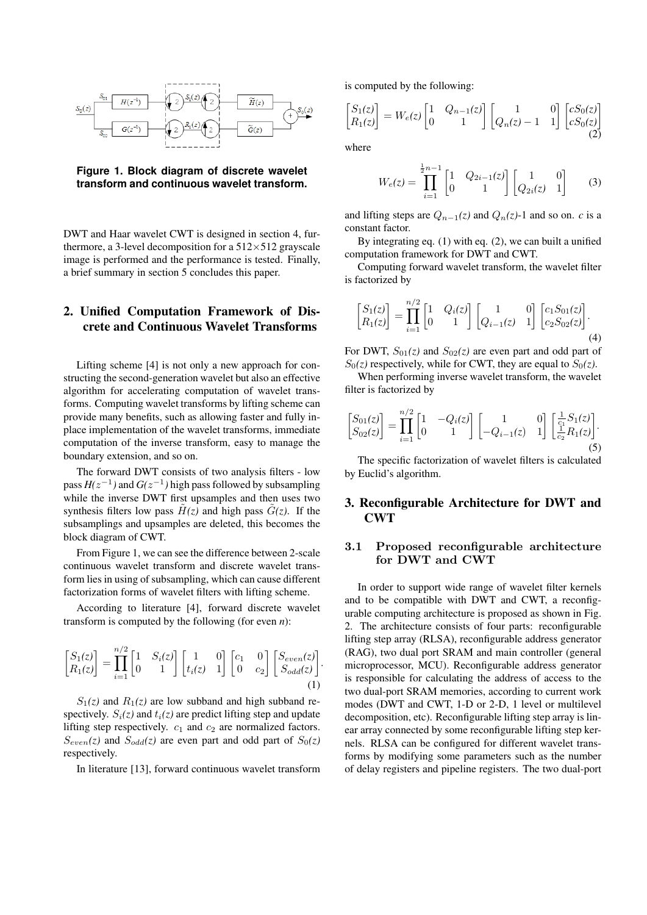

**Figure 1. Block diagram of discrete wavelet transform and continuous wavelet transform.**

DWT and Haar wavelet CWT is designed in section 4, furthermore, a 3-level decomposition for a  $512\times512$  grayscale image is performed and the performance is tested. Finally, a brief summary in section 5 concludes this paper.

## 2. Unified Computation Framework of Discrete and Continuous Wavelet Transforms

Lifting scheme [4] is not only a new approach for constructing the second-generation wavelet but also an effective algorithm for accelerating computation of wavelet transforms. Computing wavelet transforms by lifting scheme can provide many benefits, such as allowing faster and fully inplace implementation of the wavelet transforms, immediate computation of the inverse transform, easy to manage the boundary extension, and so on.

The forward DWT consists of two analysis filters - low pass  $H(z^{-1})$  and  $G(z^{-1})$  high pass followed by subsampling while the inverse DWT first upsamples and then uses two synthesis filters low pass  $\tilde{H}(z)$  and high pass  $\tilde{G}(z)$ . If the subsamplings and upsamples are deleted, this becomes the block diagram of CWT.

From Figure 1, we can see the difference between 2-scale continuous wavelet transform and discrete wavelet transform lies in using of subsampling, which can cause different factorization forms of wavelet filters with lifting scheme.

According to literature [4], forward discrete wavelet transform is computed by the following (for even *n*):

$$
\begin{bmatrix} S_1(z) \\ R_1(z) \end{bmatrix} = \prod_{i=1}^{n/2} \begin{bmatrix} 1 & S_i(z) \\ 0 & 1 \end{bmatrix} \begin{bmatrix} 1 & 0 \\ t_i(z) & 1 \end{bmatrix} \begin{bmatrix} c_1 & 0 \\ 0 & c_2 \end{bmatrix} \begin{bmatrix} S_{even}(z) \\ S_{odd}(z) \end{bmatrix} . \tag{1}
$$

 $S_1(z)$  and  $R_1(z)$  are low subband and high subband respectively.  $S_i(z)$  and  $t_i(z)$  are predict lifting step and update lifting step respectively.  $c_1$  and  $c_2$  are normalized factors.  $S_{even}(z)$  and  $S_{odd}(z)$  are even part and odd part of  $S_0(z)$ respectively.

In literature [13], forward continuous wavelet transform

is computed by the following:

$$
\begin{bmatrix} S_1(z) \\ R_1(z) \end{bmatrix} = W_e(z) \begin{bmatrix} 1 & Q_{n-1}(z) \\ 0 & 1 \end{bmatrix} \begin{bmatrix} 1 & 0 \\ Q_n(z) - 1 & 1 \end{bmatrix} \begin{bmatrix} cS_0(z) \\ cS_0(z) \end{bmatrix} \tag{2}
$$

where

$$
W_e(z) = \prod_{i=1}^{\frac{1}{2}n-1} \begin{bmatrix} 1 & Q_{2i-1}(z) \\ 0 & 1 \end{bmatrix} \begin{bmatrix} 1 & 0 \\ Q_{2i}(z) & 1 \end{bmatrix}
$$
 (3)

and lifting steps are  $Q_{n-1}(z)$  and  $Q_n(z)$ -1 and so on. *c* is a constant factor.

By integrating eq. (1) with eq. (2), we can built a unified computation framework for DWT and CWT.

Computing forward wavelet transform, the wavelet filter is factorized by

$$
\begin{bmatrix} S_1(z) \\ R_1(z) \end{bmatrix} = \prod_{i=1}^{n/2} \begin{bmatrix} 1 & Q_i(z) \\ 0 & 1 \end{bmatrix} \begin{bmatrix} 1 & 0 \\ Q_{i-1}(z) & 1 \end{bmatrix} \begin{bmatrix} c_1 S_{01}(z) \\ c_2 S_{02}(z) \end{bmatrix} . \tag{4}
$$

For DWT,  $S_{01}(z)$  and  $S_{02}(z)$  are even part and odd part of  $S_0(z)$  respectively, while for CWT, they are equal to  $S_0(z)$ .

When performing inverse wavelet transform, the wavelet filter is factorized by

$$
\begin{bmatrix} S_{01}(z) \\ S_{02}(z) \end{bmatrix} = \prod_{i=1}^{n/2} \begin{bmatrix} 1 & -Q_i(z) \\ 0 & 1 \end{bmatrix} \begin{bmatrix} 1 & 0 \\ -Q_{i-1}(z) & 1 \end{bmatrix} \begin{bmatrix} \frac{1}{c_1} S_1(z) \\ \frac{1}{c_2} R_1(z) \end{bmatrix} . \tag{5}
$$

The specific factorization of wavelet filters is calculated by Euclid's algorithm.

## 3. Reconfigurable Architecture for DWT and CWT

### 3.1 Proposed reconfigurable architecture for DWT and CWT

In order to support wide range of wavelet filter kernels and to be compatible with DWT and CWT, a reconfigurable computing architecture is proposed as shown in Fig. 2. The architecture consists of four parts: reconfigurable lifting step array (RLSA), reconfigurable address generator (RAG), two dual port SRAM and main controller (general microprocessor, MCU). Reconfigurable address generator is responsible for calculating the address of access to the two dual-port SRAM memories, according to current work modes (DWT and CWT, 1-D or 2-D, 1 level or multilevel decomposition, etc). Reconfigurable lifting step array is linear array connected by some reconfigurable lifting step kernels. RLSA can be configured for different wavelet transforms by modifying some parameters such as the number of delay registers and pipeline registers. The two dual-port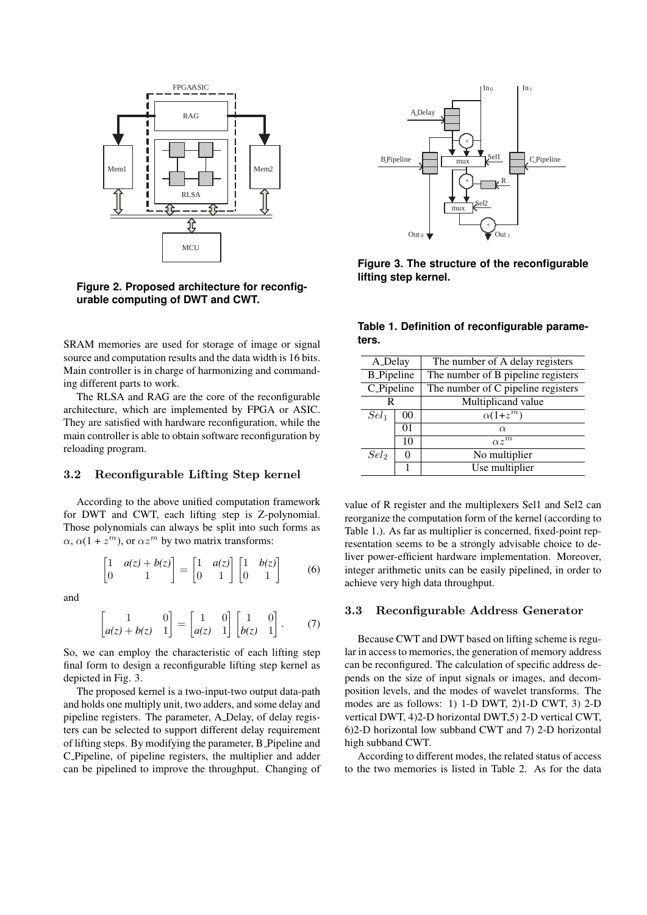

**Figure 2. Proposed architecture for reconfigurable computing of DWT and CWT.**

SRAM memories are used for storage of image or signal source and computation results and the data width is 16 bits. Main controller is in charge of harmonizing and commanding different parts to work.

The RLSA and RAG are the core of the reconfigurable architecture, which are implemented by FPGA or ASIC. They are satisfied with hardware reconfiguration, while the main controller is able to obtain software reconfiguration by reloading program.

#### 3.2 Reconfigurable Lifting Step kernel

According to the above unified computation framework for DWT and CWT, each lifting step is Z-polynomial. Those polynomials can always be split into such forms as  $\alpha$ ,  $\alpha(1 + z^m)$ , or  $\alpha z^m$  by two matrix transforms:

$$
\begin{bmatrix} 1 & a(z) + b(z) \\ 0 & 1 \end{bmatrix} = \begin{bmatrix} 1 & a(z) \\ 0 & 1 \end{bmatrix} \begin{bmatrix} 1 & b(z) \\ 0 & 1 \end{bmatrix}
$$
 (6)

and

$$
\begin{bmatrix} 1 & 0 \ a(z) + b(z) & 1 \end{bmatrix} = \begin{bmatrix} 1 & 0 \ a(z) & 1 \end{bmatrix} \begin{bmatrix} 1 & 0 \ b(z) & 1 \end{bmatrix}.
$$
 (7)

So, we can employ the characteristic of each lifting step final form to design a reconfigurable lifting step kernel as depicted in Fig. 3.

The proposed kernel is a two-input-two output data-path and holds one multiply unit, two adders, and some delay and pipeline registers. The parameter, A Delay, of delay registers can be selected to support different delay requirement of lifting steps. By modifying the parameter, B Pipeline and C Pipeline, of pipeline registers, the multiplier and adder can be pipelined to improve the throughput. Changing of



**Figure 3. The structure of the reconfigurable lifting step kernel.**

**Table 1. Definition of reconfigurable parameters.**

| A_Delay            |    | The number of A delay registers    |  |  |  |  |
|--------------------|----|------------------------------------|--|--|--|--|
| <b>B</b> _Pipeline |    | The number of B pipeline registers |  |  |  |  |
| C_Pipeline         |    | The number of C pipeline registers |  |  |  |  |
| R                  |    | Multiplicand value                 |  |  |  |  |
| $Sel_1$            | 00 | $\alpha(1+z^m)$                    |  |  |  |  |
|                    | 01 | $\alpha$                           |  |  |  |  |
|                    | 10 | $\alpha z^{\bar{m}}$               |  |  |  |  |
| Sel <sub>2</sub>   |    | No multiplier                      |  |  |  |  |
|                    |    | Use multiplier                     |  |  |  |  |

value of R register and the multiplexers Sel1 and Sel2 can reorganize the computation form of the kernel (according to Table 1.). As far as multiplier is concerned, fixed-point representation seems to be a strongly advisable choice to deliver power-efficient hardware implementation. Moreover, integer arithmetic units can be easily pipelined, in order to achieve very high data throughput.

### 3.3 Reconfigurable Address Generator

Because CWT and DWT based on lifting scheme is regular in access to memories, the generation of memory address can be reconfigured. The calculation of specific address depends on the size of input signals or images, and decomposition levels, and the modes of wavelet transforms. The modes are as follows: 1) 1-D DWT, 2)1-D CWT, 3) 2-D vertical DWT, 4)2-D horizontal DWT,5) 2-D vertical CWT, 6)2-D horizontal low subband CWT and 7) 2-D horizontal high subband CWT.

According to different modes, the related status of access to the two memories is listed in Table 2. As for the data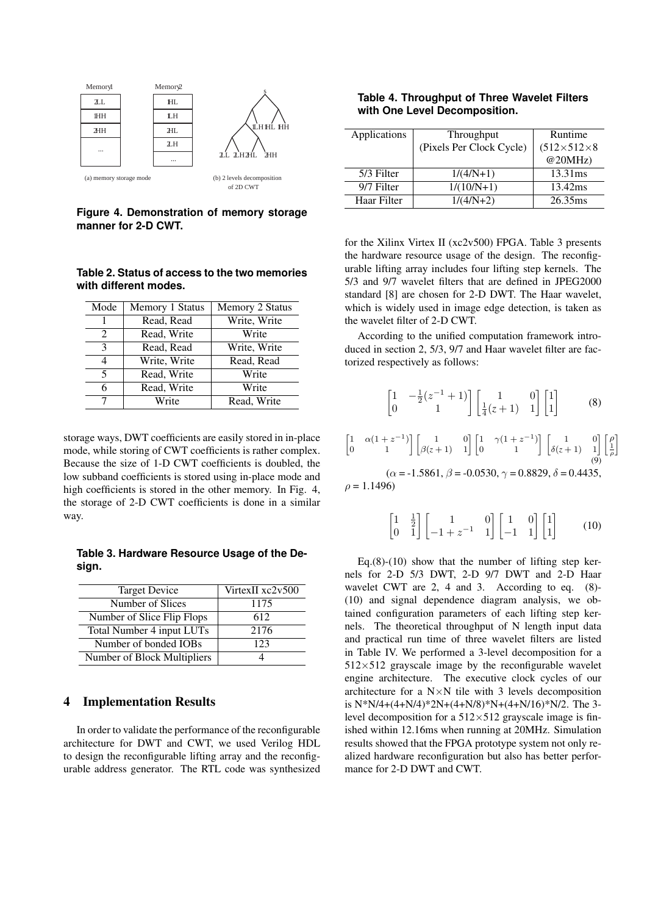

**Figure 4. Demonstration of memory storage manner for 2-D CWT.**

### **Table 2. Status of access to the two memories with different modes.**

| Mode                        | Memory 1 Status | Memory 2 Status |
|-----------------------------|-----------------|-----------------|
|                             | Read, Read      | Write, Write    |
| $\mathcal{D}_{\mathcal{L}}$ | Read, Write     | Write           |
| 3                           | Read, Read      | Write, Write    |
| 4                           | Write, Write    | Read, Read      |
| 5                           | Read, Write     | Write           |
| 6                           | Read, Write     | Write           |
| 7                           | Write           | Read, Write     |

storage ways, DWT coefficients are easily stored in in-place mode, while storing of CWT coefficients is rather complex. Because the size of 1-D CWT coefficients is doubled, the low subband coefficients is stored using in-place mode and high coefficients is stored in the other memory. In Fig. 4, the storage of 2-D CWT coefficients is done in a similar way.

**Table 3. Hardware Resource Usage of the Design.**

| <b>Target Device</b>        | VirtexII xc2v500 |
|-----------------------------|------------------|
| Number of Slices            | 1175             |
| Number of Slice Flip Flops  | 612              |
| Total Number 4 input LUTs   | 2176             |
| Number of bonded IOBs       | 123              |
| Number of Block Multipliers |                  |

### 4 Implementation Results

In order to validate the performance of the reconfigurable architecture for DWT and CWT, we used Verilog HDL to design the reconfigurable lifting array and the reconfigurable address generator. The RTL code was synthesized

**Table 4. Throughput of Three Wavelet Filters with One Level Decomposition.**

| Applications | Throughput               | Runtime                |
|--------------|--------------------------|------------------------|
|              | (Pixels Per Clock Cycle) | $(512\times512\times8$ |
|              |                          | @20MHz                 |
| 5/3 Filter   | $1/(4/N+1)$              | $13.31 \,\text{ms}$    |
| 9/7 Filter   | $1/(10/N+1)$             | 13.42ms                |
| Haar Filter  | $1/(4/N+2)$              | 26.35ms                |

for the Xilinx Virtex II (xc2v500) FPGA. Table 3 presents the hardware resource usage of the design. The reconfigurable lifting array includes four lifting step kernels. The 5/3 and 9/7 wavelet filters that are defined in JPEG2000 standard [8] are chosen for 2-D DWT. The Haar wavelet, which is widely used in image edge detection, is taken as the wavelet filter of 2-D CWT.

According to the unified computation framework introduced in section 2, 5/3, 9/7 and Haar wavelet filter are factorized respectively as follows:

$$
\begin{bmatrix} 1 & -\frac{1}{2}(z^{-1}+1) \\ 0 & 1 \end{bmatrix} \begin{bmatrix} 1 & 0 \\ \frac{1}{4}(z+1) & 1 \end{bmatrix} \begin{bmatrix} 1 \\ 1 \end{bmatrix}
$$
 (8)

$$
\begin{bmatrix} 1 & \alpha(1+z^{-1}) \ 0 & 1 \end{bmatrix} \begin{bmatrix} 1 & 0 \ \beta(z+1) & 1 \end{bmatrix} \begin{bmatrix} 1 & \gamma(1+z^{-1}) \ 0 & 1 \end{bmatrix} \begin{bmatrix} 1 & 0 \ \delta(z+1) & 1 \end{bmatrix} \begin{bmatrix} \rho \ \frac{1}{\rho} \end{bmatrix}
$$

 $(\alpha = -1.5861, \beta = -0.0530, \gamma = 0.8829, \delta = 0.4435,$  $ρ = 1.1496$ 

> $\begin{bmatrix} 1 & \frac{1}{2} \end{bmatrix}$  $\begin{bmatrix} 1 & \frac{1}{2} \\ 0 & 1 \end{bmatrix} \begin{bmatrix} 1 & 0 \\ -1 + z^{-1} & 1 \end{bmatrix}$  $\begin{bmatrix} 1 & 0 \\ -1 & 1 \end{bmatrix} \begin{bmatrix} 1 \\ 1 \end{bmatrix}$  $\overline{a}$ (10)

Eq.(8)-(10) show that the number of lifting step kernels for 2-D 5/3 DWT, 2-D 9/7 DWT and 2-D Haar wavelet CWT are 2, 4 and 3. According to eq.  $(8)$ -(10) and signal dependence diagram analysis, we obtained configuration parameters of each lifting step kernels. The theoretical throughput of N length input data and practical run time of three wavelet filters are listed in Table IV. We performed a 3-level decomposition for a  $512\times512$  grayscale image by the reconfigurable wavelet engine architecture. The executive clock cycles of our architecture for a  $N \times N$  tile with 3 levels decomposition is N\*N/4+(4+N/4)\*2N+(4+N/8)\*N+(4+N/16)\*N/2. The 3 level decomposition for a  $512\times512$  grayscale image is finished within 12.16ms when running at 20MHz. Simulation results showed that the FPGA prototype system not only realized hardware reconfiguration but also has better performance for 2-D DWT and CWT.